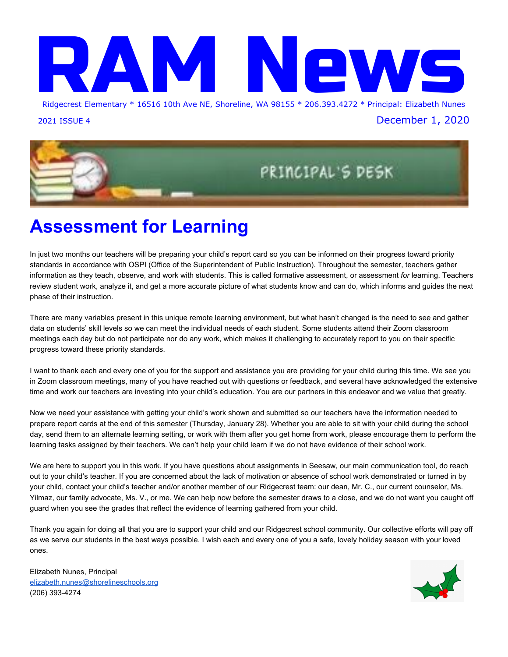

2021 ISSUE 4 December 1, 2020



### **Assessment for Learning**

In just two months our teachers will be preparing your child's report card so you can be informed on their progress toward priority standards in accordance with OSPI (Office of the Superintendent of Public Instruction). Throughout the semester, teachers gather information as they teach, observe, and work with students. This is called formative assessment, or assessment *for* learning. Teachers review student work, analyze it, and get a more accurate picture of what students know and can do, which informs and guides the next phase of their instruction.

There are many variables present in this unique remote learning environment, but what hasn't changed is the need to see and gather data on students' skill levels so we can meet the individual needs of each student. Some students attend their Zoom classroom meetings each day but do not participate nor do any work, which makes it challenging to accurately report to you on their specific progress toward these priority standards.

I want to thank each and every one of you for the support and assistance you are providing for your child during this time. We see you in Zoom classroom meetings, many of you have reached out with questions or feedback, and several have acknowledged the extensive time and work our teachers are investing into your child's education. You are our partners in this endeavor and we value that greatly.

Now we need your assistance with getting your child's work shown and submitted so our teachers have the information needed to prepare report cards at the end of this semester (Thursday, January 28). Whether you are able to sit with your child during the school day, send them to an alternate learning setting, or work with them after you get home from work, please encourage them to perform the learning tasks assigned by their teachers. We can't help your child learn if we do not have evidence of their school work.

We are here to support you in this work. If you have questions about assignments in Seesaw, our main communication tool, do reach out to your child's teacher. If you are concerned about the lack of motivation or absence of school work demonstrated or turned in by your child, contact your child's teacher and/or another member of our Ridgecrest team: our dean, Mr. C., our current counselor, Ms. Yilmaz, our family advocate, Ms. V., or me. We can help now before the semester draws to a close, and we do not want you caught off guard when you see the grades that reflect the evidence of learning gathered from your child.

Thank you again for doing all that you are to support your child and our Ridgecrest school community. Our collective efforts will pay off as we serve our students in the best ways possible. I wish each and every one of you a safe, lovely holiday season with your loved ones.

Elizabeth Nunes, Principal [elizabeth.nunes@shorelineschools.org](mailto:elizabeth.nunes@shorelineschools.org) (206) 393-4274

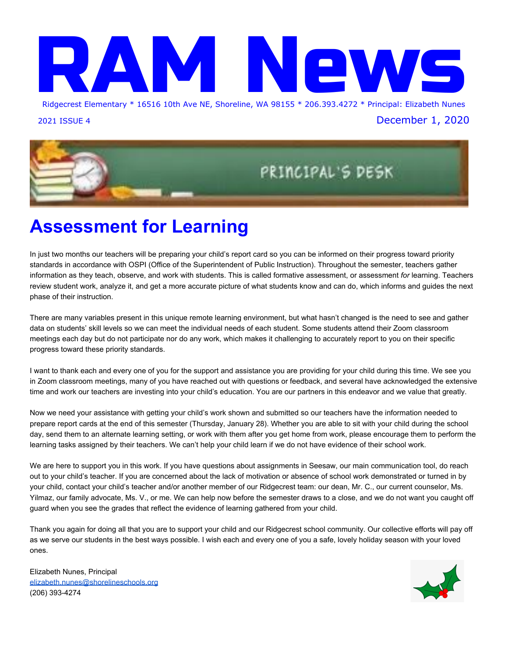

#### **DECEMBER**

- Now Dec 11 Holiday Baskets Food and Teen Gift Drive
- 11 Highly Capable Registration Deadline
- 9 Early Release Wednesday -- Dismissal at 1:45
- 16 Early Release Wednesday -- Dismissal at 1:45
- 21 NO SCHOOL -- **Winter Break through Jan 1**

#### **JANUARY**

- 4 School Resumes
- 6 Early Release Wednesday -- Dismissal at 1:45
- 13 Early Release Wednesday -- Dismissal at 1:45
- 18 NO SCHOOL -- **Dr. Martin Luther King, Jr. Day**
- 20 NO EARLY RELEASE TODAY!!!
- 27 NO EARLY RELEASE TODAY!!!
- 28 End of First Semester
- 29 NO SCHOOL -- **Staff Work Day**







# **Family Conversations About Race**

As we move toward our goal of having more conversations about race, we have some resources to share from **Black Voices: Family Room Conversations About Race**. Please click on the link to find resources to access video, book recommendations, and articles to assist in these important conversations: **[Resource Packet](https://docs.google.com/document/d/1BHbPQk3ReyUM4uGSNuFTzPXLCb1Ou4ZCVxWs8R2ETvI/edit?usp=sharing)**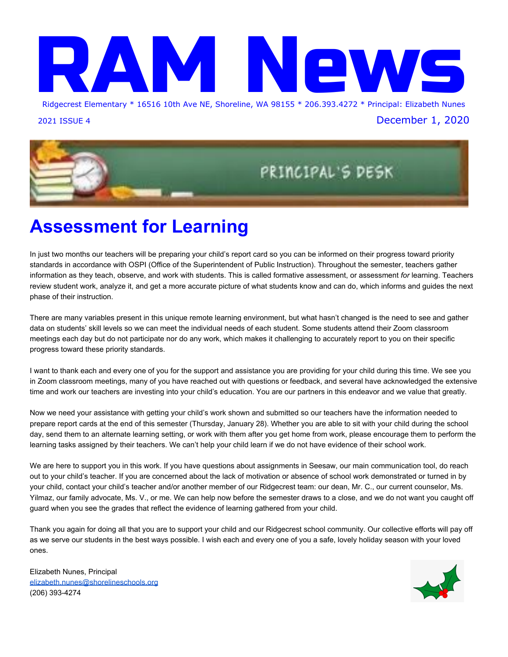Vurse l



### ) Muut) njbXMy?bX`ZVxZy{" Mk bjbZyEH Z k byytn| E

We wish you joy and health this holiday season.

Please celebrate safely by limiting your family's exposure to the virus. Covid-19 cases have risen dramatically in our area. Testing is averaging an 8.6% positivity rate in King County the last 14 days. So please be careful, wear masks, reduce time spent on non-essential activities, avoid indoor spaces with others not in your household, stay 6 feet apart while in public, wash hands, and limit social gatherings to people who live with you. Check out current guidance by clicking the following link:

<https://kingcounty.gov/elected/executive/constantine/covid-response/current-guidance.aspx>

#### **Covid-19 Testing**

If you or your child are feeling ill, please call your doctor. If testing is needed, register for an appointment to help avoid wait times. Asking about insurance accepted may be helpful. Some sites provide free testing. Check out the King County Covid-19 website for more Information and testing Sites: <https://kingcounty.gov/depts/health/covid-19/testing.aspx>

### **Covid-Testing Sites in North Seattle:**

**● City of Seattle at Aurora (North Seattle)**

#### **Make [reservations](http://www.seattle.gov/mayor/covid-19/covid-19-testing) onlin[e](http://www.seattle.gov/mayor/covid-19/covid-19-testing)**

**12040 Aurora Ave N., [Seattle,](https://goo.gl/maps/BzGa1BKRA7EKhBU58) WA 98133 Phone: (206) 684-2489 Available: Mon-Sat, 9:00am-5:30pm Languages: Interpretation available including ASL and tactile interpretation**

**● Neighborcare Health at Meridian (North Seattle)**

**10521 [Meridian](https://goo.gl/maps/EP5PA3bWu9XyobfD9) Ave N., Seattle, WA 98133 Available: Tuesdays and Thursdays, 1:00 pm - 4:00 pm**

#### **Call for appointment: (206) 296-4990**

**Languages: Amharic, Somali, Spanish, Tagalog, Vietnamese; interpretation available**

### **Also available at this location:**

DRIVE-THROUGH IMMUNIZATION CLINIC- Call 206-296-4990 to schedule

December 8 & 9, 8:30am-4:30pm

**ALL** immunizations available for children

Flu shots available for adults

Nurse Joan and Nurse Stacey

[joan.forbush@shorelineschools.org](mailto:joan.forbush@shorelineschools.org) and [stacey.chesnut@shorelineschools.org](mailto:stacey.chesnut@shorelineschools.org) 206-393-4276

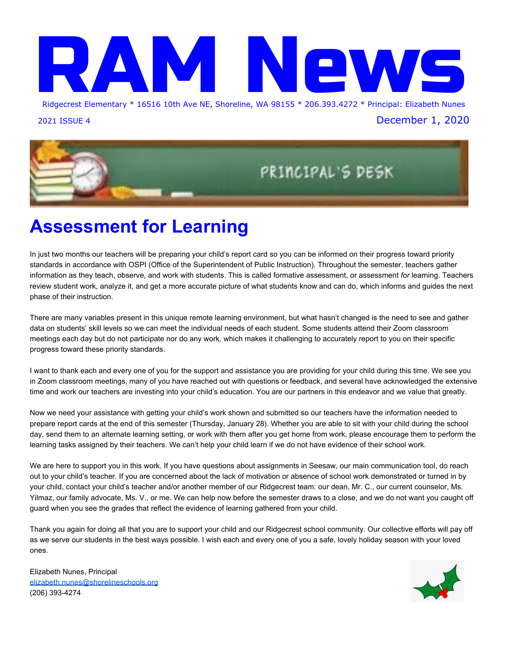

# RIDGECREST LIFE SKILLS

The Life Skill for December is:

## **Generosity**

gen·er·os·i·ty

/ˌjenəˈräsədē/

*noun*

1. the quality of being kind and generous.

# Never look down on someone unless you are helping them up



 $\ddot{\phantom{0}}$ 

# **Tech Help and Device Care**

Keeping your child's district iPad or district Chrombook in good shape is very important. Please remind your child that there should be no beverages or food near their device and that they are responsible for neglectful damage. We recently had a computer returned that had glue on the cover and keyboard. Thank you in advance for your support.

- Damage or loss should be reported immediately
- Below are fees associated with such:
	- Accidental damage fee- \$50 per incident
	- Neglect damage fee- \$100 per incident (eating or drinking damage)
	- Loss due to reported theft fee- \$100 per incident (police report required)
	- Neglect loss fee- \$200 per incident

Remember the school district has a Home Tech Help Page where you can find Zoom and Chrome book troubleshooting tips. You can also find a home tech support request form. We encourage you to submit any tech support needs there. Our amazing IT technicians are closely monitoring tech tickets and will respond quickly.

Home Tech Support Request Form: <https://www.shorelineschools.org/hometechhelp>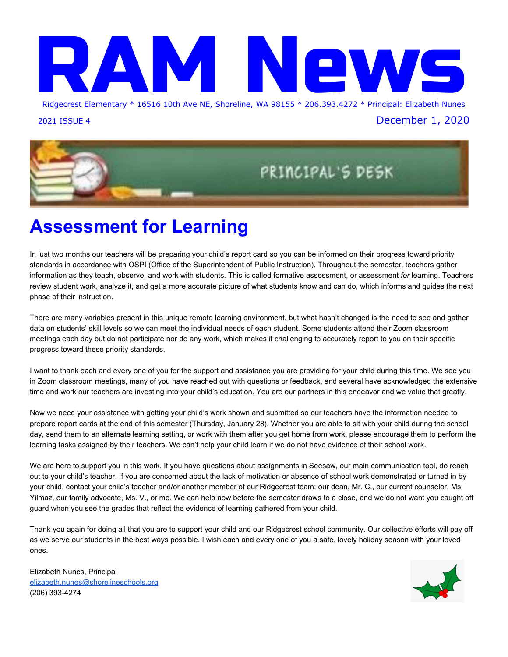# **Meal Box Orders**



Don't forget to pre-order your meal box. H\Y cfXYf  $Zcfa$  cdYbg cb A cbXUmUbX WcqYq Uha  $|Xb|$  \h Cb K YXbYgXUm A YU Vcl dfY!cfXYfg UfY Zcf d]W\_!i d h\Y Zc ``ck ]b[ K YXbYgXUm''Pre-orders ensure enough food is prepared each week.

 $\text{Hc}$  d'UWY Ub Y'YWffcb]WcfXYfžW]W\_<9F9.

For more information about the meal box service, please review the information on this [page.](http://track.spe.schoolmessenger.com/f/a/hNPZgOrC7_bHKEh25sFbRg~~/AAAAAQA~/RgRhp62mP0QqaHR0cHM6Ly93d3cuc2hvcmVsaW5lc2Nob29scy5vcmcvUGFnZS83NTIwVwdzY2hvb2xtQgoARyZ6xl_6ezieUiRqYW5pbmEucGFjdW5za2lAc2hvcmVsaW5lc2Nob29scy5vcmdYBAAAAAE~)

For assistance in filling out the order form or if you do not have internet access, call the A YU`CfXYf` - ch`]bY at &\$\* "' - ' "(%\$' . 7U``g k ]`` VY fYgdcbXYX hc cb K YXbYgXUmg VYhk YYb + ' \$Ua !' .' \$da

If you are experiencing barriers that prevent you from utilizing the meal box pick-up program, please call us at 206.393.4103 or contact the **Family [Advocate](http://track.spe.schoolmessenger.com/f/a/QYmW2zxQpP6Ay1HGk4_bKg~~/AAAAAQA~/RgRhp62mP0Q-aHR0cHM6Ly93d3cuc2hvcmVsaW5lc2Nob29scy5vcmcvc2l0ZS9EZWZhdWx0LmFzcHg_UGFnZUlEPTE5NTdXB3NjaG9vbG1CCgBHJnrGX_p7OJ5SJGphbmluYS5wYWN1bnNraUBzaG9yZWxpbmVzY2hvb2xzLm9yZ1gEAAAAAQ~~)** at your student's school for assistance.

**D**=7?!I D B C H9. to help our staff maintain social distancing and minimize risk, we are asking that you please do the following when picking-up your order:

- Write your order on a piece of paper (or on this [printable](http://track.spe.schoolmessenger.com/f/a/8EQgOkicvBQn-i37ouEoeQ~~/AAAAAQA~/RgRhp62mP0R1aHR0cHM6Ly9tc2cuc2Nob29sbWVzc2VuZ2VyLmNvbS9tLz9zPUpJOWdDeHJTXzFJJm1hbD1iOTA3N2UyNmZiODExMzg3MjQ4MDZiZmJiNTZmNWZhMjViYTJlZGFkYTkxOWUzYmY0ZjEwZmYzYmJlMDVjOTljVwdzY2hvb2xtQgoARyZ6xl_6ezieUiRqYW5pbmEucGFjdW5za2lAc2hvcmVsaW5lc2Nob29scy5vcmdYBAAAAAE~) sheet) and hold it up.
- · Allow staff to load meal boxes into your trunk or back seats whenever possible.

Food and Nutrition Services Shoreline School District 206.393.4209 or [nutrition.services@shorelineschools.org](mailto:nutrition.services@shorelineschools.org)

# **Highly Capable Screening for 2020-2021**

This school year, screening for entry into Highly Capable will look a bit different. See information on each grade-level below:

- All Kindergarten students will be screened this school year. More information about this soon.
- All first grade students will be screened using currently available assessment data. Students who meet the screening threshold will be invited for further assessment. Families of students in first grade that qualify for further assessment will be notified of this in early November.
- Students in grades 2-5 will be screened using current assessment data if their family registers using the form in the link you see below. The registration deadline is December 11 at 4:00 p.m. Students in these grades will only be screened if their family registers: [https://docs.google.com/forms/d/e/1FAIpQLSfL1BHY\\_P8druzVBDOrMcxyBXV-6ux\\_wTiWp-YL9N9TnH](https://docs.google.com/forms/d/e/1FAIpQLSfL1BHY_P8druzVBDOrMcxyBXV-6ux_wTiWp-YL9N9TnH2u4g/viewform) [2u4g/viewform](https://docs.google.com/forms/d/e/1FAIpQLSfL1BHY_P8druzVBDOrMcxyBXV-6ux_wTiWp-YL9N9TnH2u4g/viewform)
- Students who pass the screening step will be provided the opportunity to have further assessment to qualify for Highly Capable services. This second testing will be done remotely during the school day in January.
- There is no appeal process for the screening or second round testing.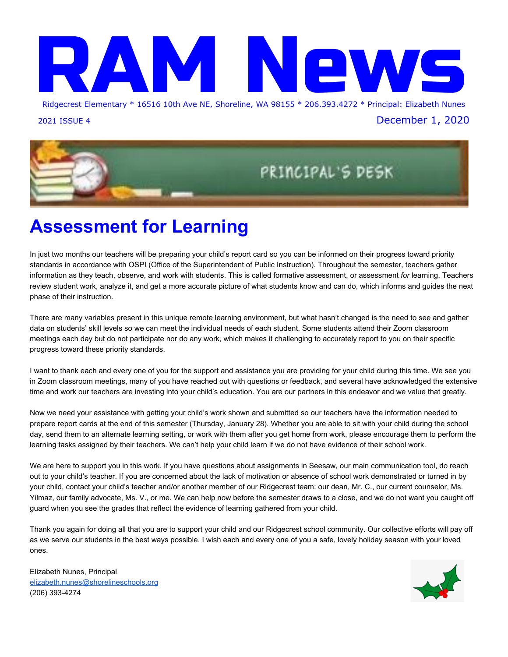# **From the Family Advocate** W



### **The WORKS Clothing Room**

The WORKS clothing room provides high quality, clean, gently used children's and teen clothing to Shoreline School District families experiencing economic hardship. The WORKS is open on Wednesdays from 6:30pm - 8:00pm. Due to social distancing requirements, families must make a reservation to shop in advance at tinyurl.com/works2020 .

#### **TO SHOP AT THE WORKS:**

- Families must have a Shoreline School District address or have a child who attends a Shoreline School District school.
- Each qualifying family may sign up in advance for only one {1) 30 minute time slot. No walk-ins allowed.
- Please leave children at home. Up to two adults from the same household may enter The WORKS. Masks and gloves are required and will be provided, if needed.For urgent needs, please email theworks@shorelinepta.org or leave a message at 206-393-4916

### **Free Internet Access for Qualifying Families**

Washington's K-12 Internet Access Program is now offering FREE internet service to families who qualify. Families that show they are low-income and eligible for free or reduced-price meals and did not have internet connectivity in their home prior to August 2020 qualify for this free service. You can learn more about this program and how to sign up by contacting our Family Advocate, Evangelina Vederoff (Mrs V) If you have questions, please email or call: evangelina.vederoff@shorelineschools.org 206-393-1495.

- 1. Briarcrest: 14511 25th Ave. NE, in front of Shoreline United Methodist Church
- 2. Briarcrest: Prince of Peach Lutheran Church, 14514 20th Ave NE
- 3. Parkwood: Rainbow Little Free Pantry, 2133 N 147th St.
- 4. Stay SAFe Pet Pantry: 14717 Aurora Ave. N in front of Seattle Area Feline Rescue (supplies for pets)
- 5. The Triangle Little Free Shed: 14544 Evanston Ave. N.
- 6. Parkwood: St. Barnabas Anglican Church, 2340 N. 155th St.
- 7. Ridgecrest: 15815 11th Ave NE
- 8. Meridian Park: 16173 Midvale Ave N.
- 9. Meridian Park: 17916 1st Ave. NE
- 10. Meridian Park: 18312 Corliss Ave N.
- 11. Echo Lake: Shoreline Covenant Church. N 185th and Ashworth Ave N
- 12. Richmond Beach, First Lutheran Church: 18354 8th Ave NW
- 13. Richmond Beach: 1422 NW 195th St.
- 14. Echo Lake/Northridge: 20008 6th Ave NE (park on 200th side)
- 15. Ballinger: 1230 NE 198<sup>th</sup> St.
- 16. North City Little Free Pantry: 18910 8th Ave. NE - food, clothes, & household items
- 17. North City: 1674 NE 185th
- 18. Lake Forest Park: 25th Ave NE and NE 184th St
- 19. Lake Forest Park: 18492 Ballinger Way NE
- 20. Lake Forest Park: 19706 30th Ave NE
- 21. Mountlake Terrace: 23222 56<sup>th</sup> Ave W., between Calvary Fellowship Church & **Espresso Break**

If you have updates to this list, please email Susie.moore@shorelineschools.org.

### Little Free Pantries Shoreline, Lake Forest Park area

A neighborhood food-share program. Take what you need, share what you can.

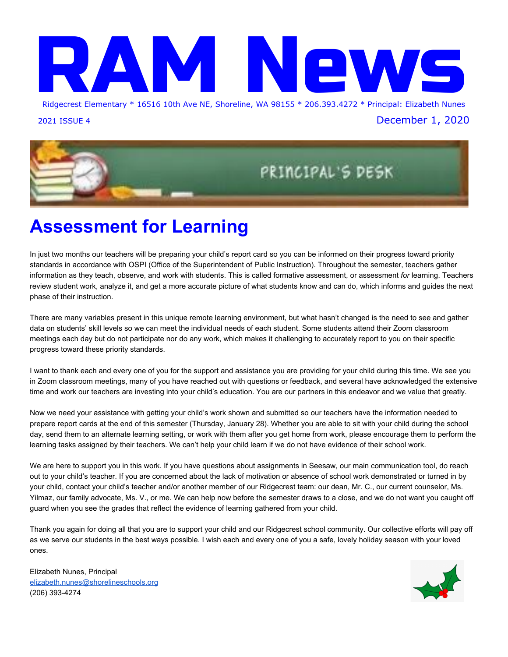

### **["\]gjP/I<jjYI
\]YYIOI\\$dI\[\]khIN\]gGkYj<hQEGkE<jQ\]\[<\[G/0\]D0g<Q\[Q\[O](https://forms.office.com/Pages/ResponsePage.aspx?id=OP_YAhHXMU6pFWy1z_eI38Yl7BZqnRpAiVC_dZaXSMNUMUtETTVMRjdRU0szUExTT09XSFQ2MVpURi4u)**

Tue. Dec. 8 at 1pm-2pm or Wed. Dec. 9 at 6:30pm-7:30pm

[Register online](https://forms.office.com/Pages/ResponsePage.aspx?id=OP_YAhHXMU6pFWy1z_eI38Yl7BZqnRpAiVC_dZaXSMNUMUtETTVMRjdRU0szUExTT09XSFQ2MVpURi4u) to receive Zoom link

Learn about North Seattle College's programs in Winter Quarter 2021 (January 4 - March 17). Earn a high school diploma or GED, improve college skills, or start career training in Health Care, Business, IT and more. Contact Shan Lackey at 206-934-4537 orshan.lackey@seattlecolleges.edu for more info.

### $\leq$  [N%] The solution of the solution of the solution of the solution of the solution of the solution of the solution of the solution of the solution of the solution of the solution of the solution of the solution of the

#### [https://bit.ly/KCLS\\_Plaza](https://bit.ly/KCLS_Plaza)

Mondays, 10am-1pm

Wednesdays, 5:30pm-8:30pm

Saturdays, 10am-1pm

8YqWJdhcb. Mientras las bibliotecas están cerradas, llámenos para ver si podemos ayudarlo a comenzar sus estudios en línea.

Comunicate con Teresa, 425.369.3443, tlcid@kcls.org.

Clases gratuitas en español para adultos. Consigue tu certificado de primaria y secundaria de la SEP (Secretaria de Educación Pública de México). Programa individual para personas de cualquier nacionalidad.

Free drop-in tutoring for Spanish-speaking adults seeking to obtain their elementary and/or middle school official diploma from the SEP (Mexican Secretary of Public Education). This is an individualized program for people of all nationalities.

### "I`jbya My MozVnI X 1MI`| MZ ¿"@IAł jMy

<https://kcls.bibliocommons.com/events/search/q=ESL>

Mondays and Wednesdays, 6-7:30pm

**'HVFULSWLRQ** For adults. Learn English grammar, reading, writing and conversation skills with an experienced instructor.

Classes are free via Zoom.

Assessment and registration required. Please call Cascadia Community College at 425.352.8158.

### H ZIV nk b ` + ZI {Zx<sup>ox</sup>k k b x M l 3 12 M ib b Y

<https://kcls.bibliocommons.com/events/5e0d62604916b039006a38ad>

Wednesday, December 2, 5:30-8pm

8YgWJdhJcb. The Welcoming Center at Kent Library is a place for immigrants, refugees and new arrivals - connecting you to the people and resources in the area you live.

The Eastside Legal Assistance Program (ELAP) provides free 1-hour virtual/phone consultations with an immigration attorney to King County residents who qualify for assistance. Attorneys cannot represent clients but can refer to other assistance.

Assistance is via phone or online; available by appointment only. Please call ELAP's main line, 425.747.7274, to determine if you qualify for assistance and to schedule an appointment at the Kent Library. ELAP has over-the-phone translation services available.